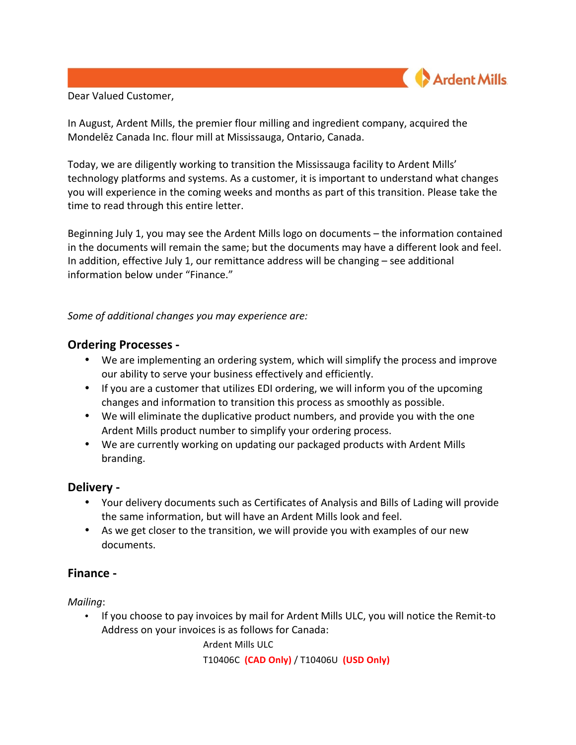

Dear Valued Customer,

In August, Ardent Mills, the premier flour milling and ingredient company, acquired the Mondelēz Canada Inc. flour mill at Mississauga, Ontario, Canada.

Today, we are diligently working to transition the Mississauga facility to Ardent Mills' technology platforms and systems. As a customer, it is important to understand what changes you will experience in the coming weeks and months as part of this transition. Please take the time to read through this entire letter.

Beginning July 1, you may see the Ardent Mills logo on documents – the information contained in the documents will remain the same; but the documents may have a different look and feel. In addition, effective July 1, our remittance address will be changing  $-$  see additional information below under "Finance."

*Some of additional changes you may experience are:* 

## **Ordering Processes -**

- We are implementing an ordering system, which will simplify the process and improve our ability to serve your business effectively and efficiently.
- If you are a customer that utilizes EDI ordering, we will inform you of the upcoming changes and information to transition this process as smoothly as possible.
- We will eliminate the duplicative product numbers, and provide you with the one Ardent Mills product number to simplify your ordering process.
- We are currently working on updating our packaged products with Ardent Mills branding.

# **Delivery -**

- Your delivery documents such as Certificates of Analysis and Bills of Lading will provide the same information, but will have an Ardent Mills look and feel.
- As we get closer to the transition, we will provide you with examples of our new documents.

# **Finance -**

*Mailing*:

• If you choose to pay invoices by mail for Ardent Mills ULC, you will notice the Remit-to Address on your invoices is as follows for Canada:

Ardent Mills ULC

T10406C **(CAD Only)** / T10406U **(USD Only)**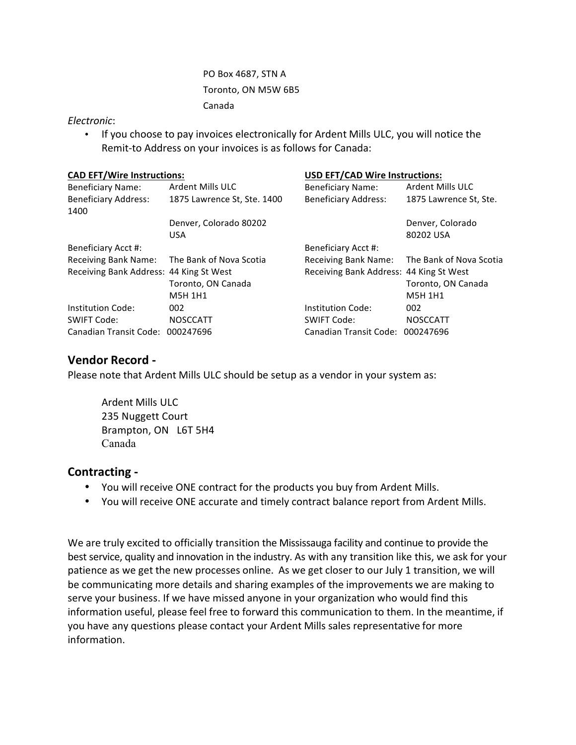PO Box 4687, STN A Toronto, ON M5W 6B5 Canada

#### *Electronic*:

• If you choose to pay invoices electronically for Ardent Mills ULC, you will notice the Remit-to Address on your invoices is as follows for Canada:

| <b>CAD EFT/Wire Instructions:</b>       |                             | <b>USD EFT/CAD Wire Instructions:</b>   |                                              |
|-----------------------------------------|-----------------------------|-----------------------------------------|----------------------------------------------|
| <b>Beneficiary Name:</b>                | <b>Ardent Mills ULC</b>     | <b>Beneficiary Name:</b>                | Ardent Mills ULC                             |
| <b>Beneficiary Address:</b><br>1400     | 1875 Lawrence St, Ste. 1400 | <b>Beneficiary Address:</b>             | 1875 Lawrence St, Ste.                       |
|                                         | Denver, Colorado 80202      |                                         | Denver, Colorado                             |
|                                         | <b>USA</b>                  |                                         | 80202 USA                                    |
| Beneficiary Acct #:                     |                             | <b>Beneficiary Acct #:</b>              |                                              |
| Receiving Bank Name:                    | The Bank of Nova Scotia     |                                         | Receiving Bank Name: The Bank of Nova Scotia |
| Receiving Bank Address: 44 King St West |                             | Receiving Bank Address: 44 King St West |                                              |
|                                         | Toronto, ON Canada          |                                         | Toronto, ON Canada                           |
|                                         | <b>M5H 1H1</b>              |                                         | <b>M5H 1H1</b>                               |
| Institution Code:                       | 002                         | Institution Code:                       | 002                                          |
| <b>SWIFT Code:</b>                      | <b>NOSCCATT</b>             | <b>SWIFT Code:</b>                      | <b>NOSCCATT</b>                              |
| Canadian Transit Code: 000247696        |                             | Canadian Transit Code:                  | 000247696                                    |

## **Vendor Record -**

Please note that Ardent Mills ULC should be setup as a vendor in your system as:

Ardent Mills ULC 235 Nuggett Court Brampton, ON L6T 5H4 Canada

### **Contracting -**

- You will receive ONE contract for the products you buy from Ardent Mills.
- You will receive ONE accurate and timely contract balance report from Ardent Mills.

We are truly excited to officially transition the Mississauga facility and continue to provide the best service, quality and innovation in the industry. As with any transition like this, we ask for your patience as we get the new processes online. As we get closer to our July 1 transition, we will be communicating more details and sharing examples of the improvements we are making to serve your business. If we have missed anyone in your organization who would find this information useful, please feel free to forward this communication to them. In the meantime, if you have any questions please contact your Ardent Mills sales representative for more information.